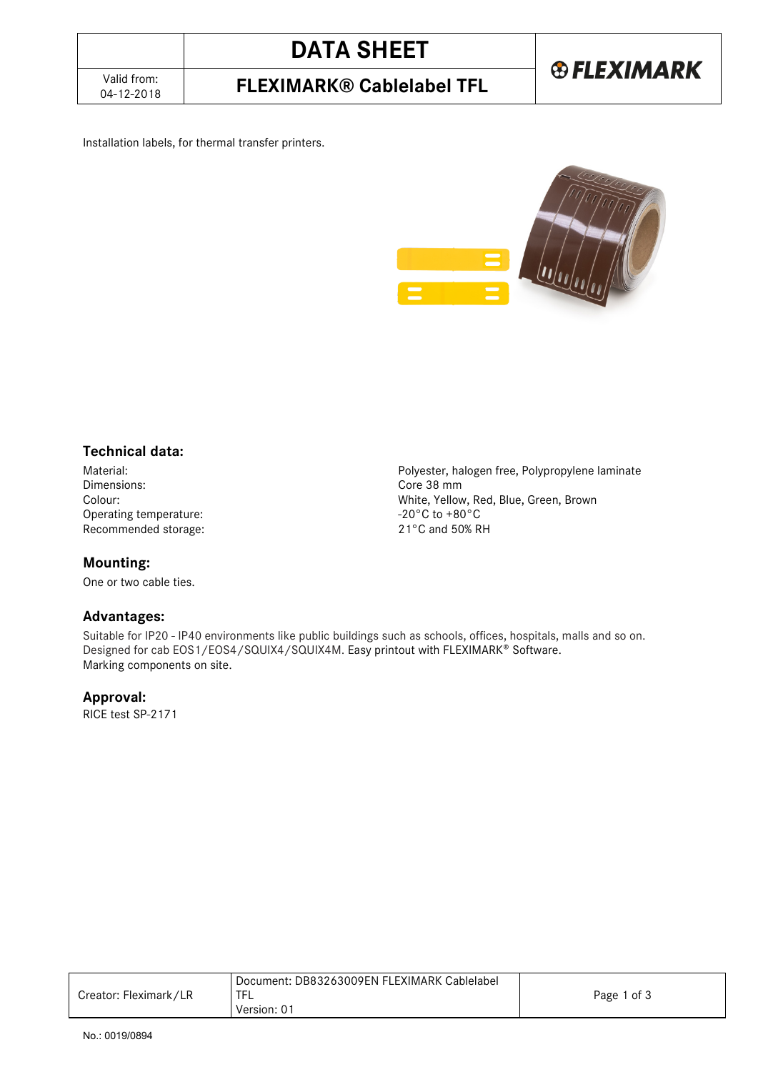04-12-2018 **FLEXIMARK® Cablelabel TFL**

#### Installation labels, for thermal transfer printers.



## **Technical data:**

Material: Polyester, halogen free, Polypropylene laminate Operating temperature: Recommended storage: 21°C and 50% RH

### **Mounting:**

One or two cable ties.

## **Advantages:**

Core 38 mm Colour:<br>
Operating temperature:<br>
Operating temperature:<br>  $-20\degree$ C to +80 $\degree$ C

Suitable for IP20 - IP40 environments like public buildings such as schools, offices, hospitals, malls and so on. Designed for cab EOS1/EOS4/SQUIX4/SQUIX4M. Easy printout with FLEXIMARK® Software. Marking components on site.

### **Approval:**

RICE test SP-2171

|                       | Document: DB83263009EN FLEXIMARK Cablelabel |             |
|-----------------------|---------------------------------------------|-------------|
| Creator: Fleximark/LR |                                             | Page 1 of 3 |
|                       | Version: 01                                 |             |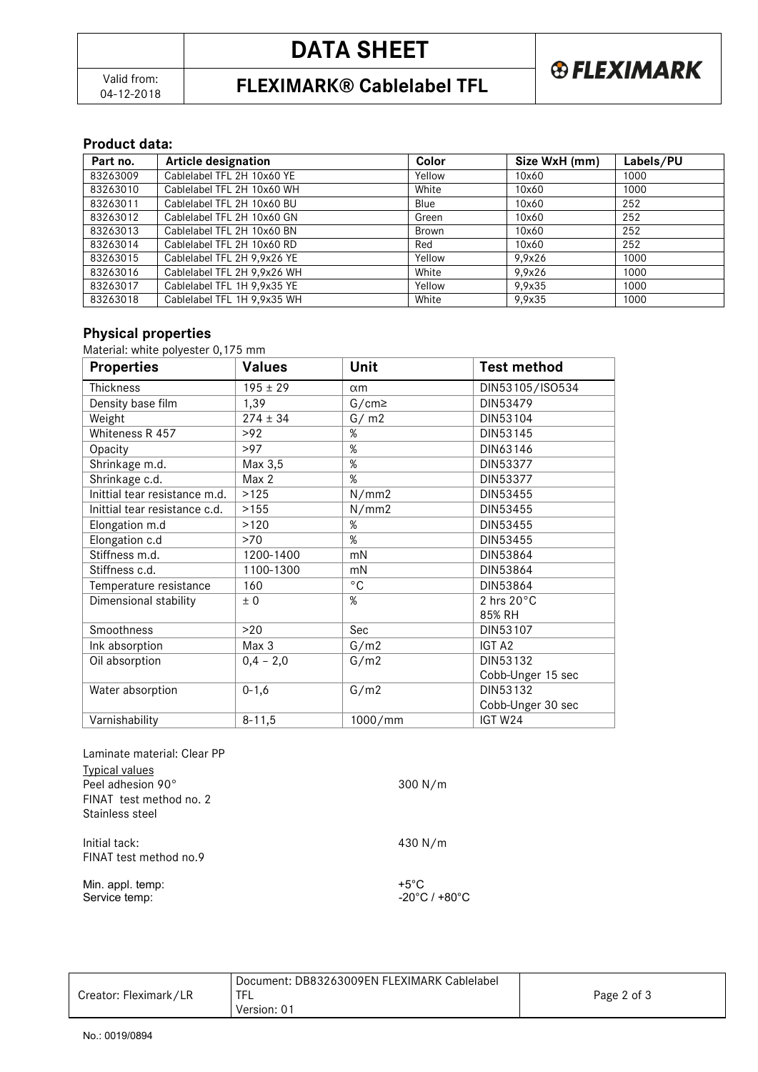04-12-2018 **FLEXIMARK® Cablelabel TFL**

#### **Product data:**

| Part no. | <b>Article designation</b>  | <b>Color</b> | Size WxH (mm) | Labels/PU |
|----------|-----------------------------|--------------|---------------|-----------|
| 83263009 | Cablelabel TFL 2H 10x60 YE  | Yellow       | 10x60         | 1000      |
| 83263010 | Cablelabel TFL 2H 10x60 WH  | White        | 10x60         | 1000      |
| 83263011 | Cablelabel TFL 2H 10x60 BU  | Blue         | 10x60         | 252       |
| 83263012 | Cablelabel TFL 2H 10x60 GN  | Green        | 10x60         | 252       |
| 83263013 | Cablelabel TFL 2H 10x60 BN  | Brown        | 10x60         | 252       |
| 83263014 | Cablelabel TFL 2H 10x60 RD  | Red          | 10x60         | 252       |
| 83263015 | Cablelabel TFL 2H 9,9x26 YE | Yellow       | 9,9x26        | 1000      |
| 83263016 | Cablelabel TFL 2H 9,9x26 WH | White        | 9,9x26        | 1000      |
| 83263017 | Cablelabel TFL 1H 9.9x35 YE | Yellow       | 9,9x35        | 1000      |
| 83263018 | Cablelabel TFL 1H 9.9x35 WH | White        | 9.9x35        | 1000      |

## **Physical properties**

Material: white polyester 0,175 mm

| <b>Properties</b>             | <b>Values</b> | Unit         | <b>Test method</b>   |
|-------------------------------|---------------|--------------|----------------------|
| Thickness                     | $195 \pm 29$  | $\alpha$ m   | DIN53105/ISO534      |
| Density base film             | 1,39          | $G/cm \ge$   | DIN53479             |
| Weight                        | $274 \pm 34$  | G/m2         | DIN53104             |
| Whiteness R 457               | >92           | %            | DIN53145             |
| Opacity                       | >97           | %            | DIN63146             |
| Shrinkage m.d.                | Max 3,5       | %            | DIN53377             |
| Shrinkage c.d.                | Max 2         | %            | DIN53377             |
| Inittial tear resistance m.d. | >125          | N/mm2        | DIN53455             |
| Inittial tear resistance c.d. | >155          | N/mm2        | DIN53455             |
| Elongation m.d                | >120          | $\%$         | DIN53455             |
| Elongation c.d                | >70           | $\%$         | DIN53455             |
| Stiffness m.d.                | 1200-1400     | mN           | DIN53864             |
| Stiffness c.d.                | 1100-1300     | mN           | DIN53864             |
| Temperature resistance        | 160           | $^{\circ}$ C | DIN53864             |
| Dimensional stability         | ± 0           | %            | 2 hrs $20^{\circ}$ C |
|                               |               |              | 85% RH               |
| Smoothness                    | >20           | Sec          | DIN53107             |
| Ink absorption                | Max 3         | G/m2         | IGT A2               |
| Oil absorption                | $0,4 - 2,0$   | G/m2         | DIN53132             |
|                               |               |              | Cobb-Unger 15 sec    |
| Water absorption              | $0 - 1, 6$    | G/m2         | DIN53132             |
|                               |               |              | Cobb-Unger 30 sec    |
| Varnishability                | $8 - 11,5$    | 1000/mm      | IGT W24              |

| Laminate material: Clear PP |                                    |
|-----------------------------|------------------------------------|
| <b>Typical values</b>       |                                    |
| Peel adhesion 90°           | $300$ N/m                          |
| FINAT test method no. 2     |                                    |
| Stainless steel             |                                    |
| Initial tack:               | 430 N/m                            |
| FINAT test method no.9      |                                    |
| Min. appl. temp:            | $+5^{\circ}$ C                     |
| Service temp:               | $-20^{\circ}$ C / +80 $^{\circ}$ C |

| Creator: Fleximark/LR | Document: DB83263009EN FLEXIMARK Cablelabel<br>Version: 01 | Page 2 of 3 |
|-----------------------|------------------------------------------------------------|-------------|
|-----------------------|------------------------------------------------------------|-------------|